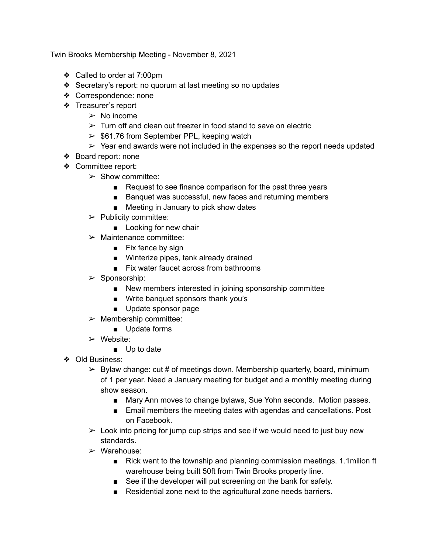Twin Brooks Membership Meeting - November 8, 2021

- ❖ Called to order at 7:00pm
- ❖ Secretary's report: no quorum at last meeting so no updates
- ❖ Correspondence: none
- ❖ Treasurer's report
	- $\triangleright$  No income
	- $\geq$  Turn off and clean out freezer in food stand to save on electric
	- $\ge$  \$61.76 from September PPL, keeping watch
	- $\geq$  Year end awards were not included in the expenses so the report needs updated
- ❖ Board report: none
- ❖ Committee report:
	- $\triangleright$  Show committee:
		- Request to see finance comparison for the past three years
		- Banquet was successful, new faces and returning members
		- Meeting in January to pick show dates
	- $\triangleright$  Publicity committee:
		- Looking for new chair
	- $\triangleright$  Maintenance committee:
		- Fix fence by sign
		- Winterize pipes, tank already drained
		- Fix water faucet across from bathrooms
	- $\triangleright$  Sponsorship:
		- New members interested in joining sponsorship committee
		- Write banquet sponsors thank you's
		- Update sponsor page
	- $\triangleright$  Membership committee:
		- Update forms
	- $\triangleright$  Website:
		- Up to date
- ❖ Old Business:
	- $\triangleright$  Bylaw change: cut # of meetings down. Membership quarterly, board, minimum of 1 per year. Need a January meeting for budget and a monthly meeting during show season.
		- Mary Ann moves to change bylaws, Sue Yohn seconds. Motion passes.
		- Email members the meeting dates with agendas and cancellations. Post on Facebook.
	- $\geq$  Look into pricing for jump cup strips and see if we would need to just buy new standards.
	- ➢ Warehouse:
		- Rick went to the township and planning commission meetings. 1.1milion ft warehouse being built 50ft from Twin Brooks property line.
		- See if the developer will put screening on the bank for safety.
		- Residential zone next to the agricultural zone needs barriers.